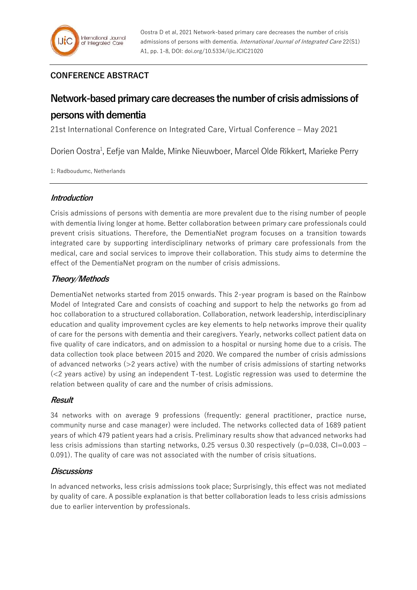# **CONFERENCE ABSTRACT**

# **Network-based primary care decreases the number of crisis admissions of persons with dementia**

21st International Conference on Integrated Care, Virtual Conference – May 2021

Dorien Oostra<sup>1</sup>, Eefje van Malde, Minke Nieuwboer, Marcel Olde Rikkert, Marieke Perry

1: Radboudumc, Netherlands

# **Introduction**

Crisis admissions of persons with dementia are more prevalent due to the rising number of people with dementia living longer at home. Better collaboration between primary care professionals could prevent crisis situations. Therefore, the DementiaNet program focuses on a transition towards integrated care by supporting interdisciplinary networks of primary care professionals from the medical, care and social services to improve their collaboration. This study aims to determine the effect of the DementiaNet program on the number of crisis admissions.

# **Theory/Methods**

DementiaNet networks started from 2015 onwards. This 2-year program is based on the Rainbow Model of Integrated Care and consists of coaching and support to help the networks go from ad hoc collaboration to a structured collaboration. Collaboration, network leadership, interdisciplinary education and quality improvement cycles are key elements to help networks improve their quality of care for the persons with dementia and their caregivers. Yearly, networks collect patient data on five quality of care indicators, and on admission to a hospital or nursing home due to a crisis. The data collection took place between 2015 and 2020. We compared the number of crisis admissions of advanced networks (>2 years active) with the number of crisis admissions of starting networks (<2 years active) by using an independent T-test. Logistic regression was used to determine the relation between quality of care and the number of crisis admissions.

## **Result**

34 networks with on average 9 professions (frequently: general practitioner, practice nurse, community nurse and case manager) were included. The networks collected data of 1689 patient years of which 479 patient years had a crisis. Preliminary results show that advanced networks had less crisis admissions than starting networks, 0.25 versus 0.30 respectively ( $p=0.038$ , CI=0.003 – 0.091). The quality of care was not associated with the number of crisis situations.

## **Discussions**

In advanced networks, less crisis admissions took place; Surprisingly, this effect was not mediated by quality of care. A possible explanation is that better collaboration leads to less crisis admissions due to earlier intervention by professionals.